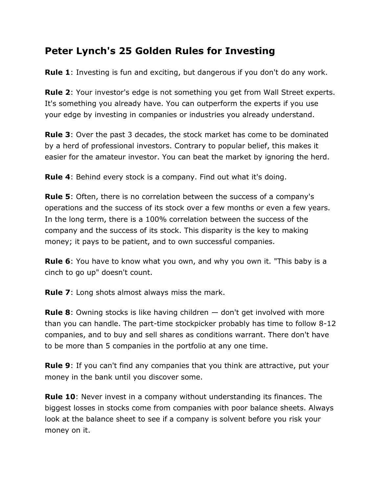## **Peter Lynch's 25 Golden Rules for Investing**

**Rule 1**: Investing is fun and exciting, but dangerous if you don't do any work.

**Rule 2**: Your investor's edge is not something you get from Wall Street experts. It's something you already have. You can outperform the experts if you use your edge by investing in companies or industries you already understand.

**Rule 3**: Over the past 3 decades, the stock market has come to be dominated by a herd of professional investors. Contrary to popular belief, this makes it easier for the amateur investor. You can beat the market by ignoring the herd.

**Rule 4**: Behind every stock is a company. Find out what it's doing.

**Rule 5**: Often, there is no correlation between the success of a company's operations and the success of its stock over a few months or even a few years. In the long term, there is a 100% correlation between the success of the company and the success of its stock. This disparity is the key to making money; it pays to be patient, and to own successful companies.

**Rule 6**: You have to know what you own, and why you own it. "This baby is a cinch to go up" doesn't count.

**Rule 7**: Long shots almost always miss the mark.

**Rule 8**: Owning stocks is like having children — don't get involved with more than you can handle. The part-time stockpicker probably has time to follow 8-12 companies, and to buy and sell shares as conditions warrant. There don't have to be more than 5 companies in the portfolio at any one time.

**Rule 9**: If you can't find any companies that you think are attractive, put your money in the bank until you discover some.

**Rule 10**: Never invest in a company without understanding its finances. The biggest losses in stocks come from companies with poor balance sheets. Always look at the balance sheet to see if a company is solvent before you risk your money on it.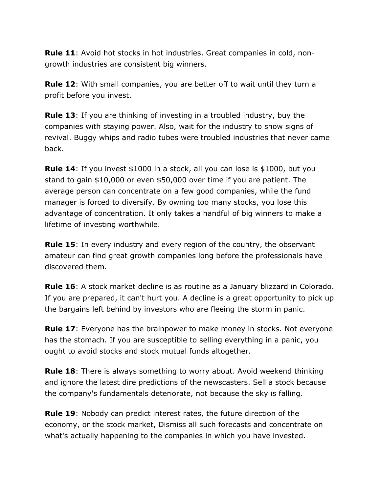**Rule 11**: Avoid hot stocks in hot industries. Great companies in cold, nongrowth industries are consistent big winners.

**Rule 12**: With small companies, you are better off to wait until they turn a profit before you invest.

**Rule 13**: If you are thinking of investing in a troubled industry, buy the companies with staying power. Also, wait for the industry to show signs of revival. Buggy whips and radio tubes were troubled industries that never came back.

**Rule 14**: If you invest \$1000 in a stock, all you can lose is \$1000, but you stand to gain \$10,000 or even \$50,000 over time if you are patient. The average person can concentrate on a few good companies, while the fund manager is forced to diversify. By owning too many stocks, you lose this advantage of concentration. It only takes a handful of big winners to make a lifetime of investing worthwhile.

**Rule 15**: In every industry and every region of the country, the observant amateur can find great growth companies long before the professionals have discovered them.

**Rule 16**: A stock market decline is as routine as a January blizzard in Colorado. If you are prepared, it can't hurt you. A decline is a great opportunity to pick up the bargains left behind by investors who are fleeing the storm in panic.

**Rule 17**: Everyone has the brainpower to make money in stocks. Not everyone has the stomach. If you are susceptible to selling everything in a panic, you ought to avoid stocks and stock mutual funds altogether.

**Rule 18**: There is always something to worry about. Avoid weekend thinking and ignore the latest dire predictions of the newscasters. Sell a stock because the company's fundamentals deteriorate, not because the sky is falling.

**Rule 19**: Nobody can predict interest rates, the future direction of the economy, or the stock market, Dismiss all such forecasts and concentrate on what's actually happening to the companies in which you have invested.